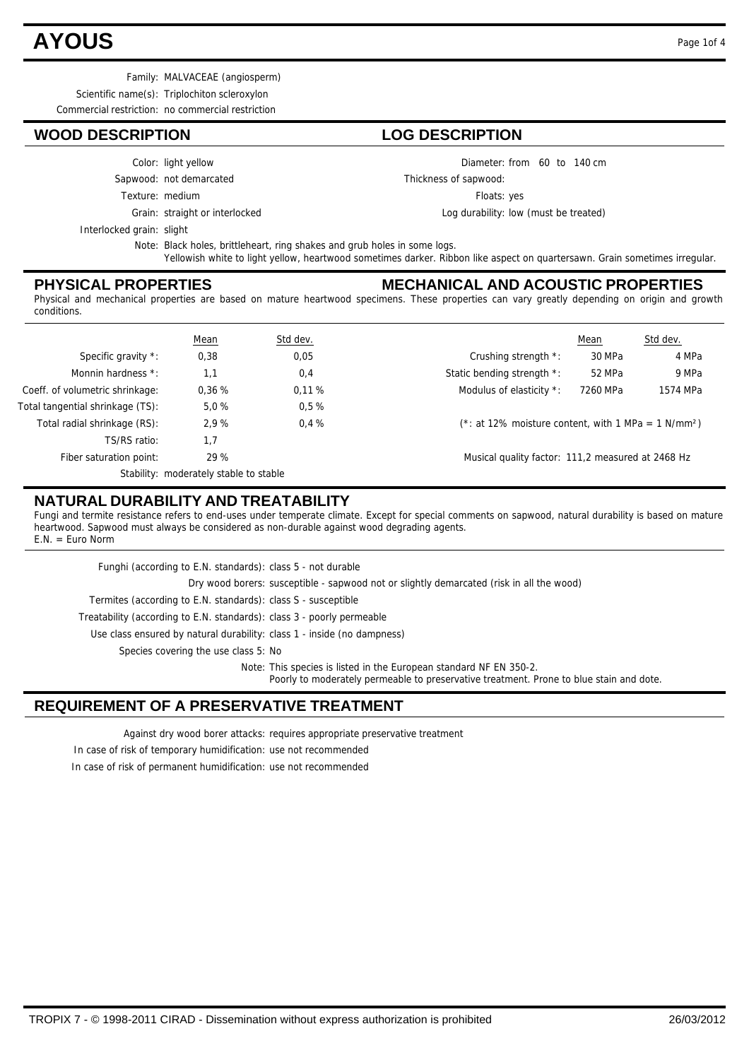# **AYOUS** Page 1of 4

Family: MALVACEAE (angiosperm)

Scientific name(s): Triplochiton scleroxylon

Commercial restriction: no commercial restriction

## **WOOD DESCRIPTION LOG DESCRIPTION**

- Color: light yellow
- Sapwood: not demarcated
- Texture: medium
	-

Grain: straight or interlocked

Interlocked grain: slight

Note: Black holes, brittleheart, ring shakes and grub holes in some logs. Yellowish white to light yellow, heartwood sometimes darker. Ribbon like aspect on quartersawn. Grain sometimes irregular.

### **PHYSICAL PROPERTIES**

#### **MECHANICAL AND ACOUSTIC PROPERTIES**

Diameter: from 60 to 140 cm

Log durability: low (must be treated)

Floats: yes

Thickness of sapwood:

Physical and mechanical properties are based on mature heartwood specimens. These properties can vary greatly depending on origin and growth conditions.

|                                  | <b>Mean</b>                            | Std dev. |                                                                    | Mean     | Std dev. |
|----------------------------------|----------------------------------------|----------|--------------------------------------------------------------------|----------|----------|
| Specific gravity *:              | 0,38                                   | 0,05     | Crushing strength *:                                               | 30 MPa   | 4 MPa    |
| Monnin hardness *:               | 1.1                                    | 0,4      | Static bending strength *:                                         | 52 MPa   | 9 MPa    |
| Coeff. of volumetric shrinkage:  | 0.36%                                  | 0.11%    | Modulus of elasticity *:                                           | 7260 MPa | 1574 MPa |
| Total tangential shrinkage (TS): | 5.0%                                   | 0.5%     |                                                                    |          |          |
| Total radial shrinkage (RS):     | 2.9%                                   | 0.4%     | $(*: at 12\%$ moisture content, with 1 MPa = 1 N/mm <sup>2</sup> ) |          |          |
| TS/RS ratio:                     | 1,7                                    |          |                                                                    |          |          |
| Fiber saturation point:          | 29 %                                   |          | Musical quality factor: 111,2 measured at 2468 Hz                  |          |          |
|                                  | Stability: moderately stable to stable |          |                                                                    |          |          |

### **NATURAL DURABILITY AND TREATABILITY**

Fungi and termite resistance refers to end-uses under temperate climate. Except for special comments on sapwood, natural durability is based on mature heartwood. Sapwood must always be considered as non-durable against wood degrading agents.  $EM = FunO$  Norm

Use class ensured by natural durability: class 1 - inside (no dampness) Treatability (according to E.N. standards): class 3 - poorly permeable Termites (according to E.N. standards): class S - susceptible Dry wood borers: susceptible - sapwood not or slightly demarcated (risk in all the wood) Funghi (according to E.N. standards): class 5 - not durable Species covering the use class 5: No

Note: This species is listed in the European standard NF EN 350-2. Poorly to moderately permeable to preservative treatment. Prone to blue stain and dote.

# **REQUIREMENT OF A PRESERVATIVE TREATMENT**

Against dry wood borer attacks: requires appropriate preservative treatment

In case of risk of temporary humidification: use not recommended

In case of risk of permanent humidification: use not recommended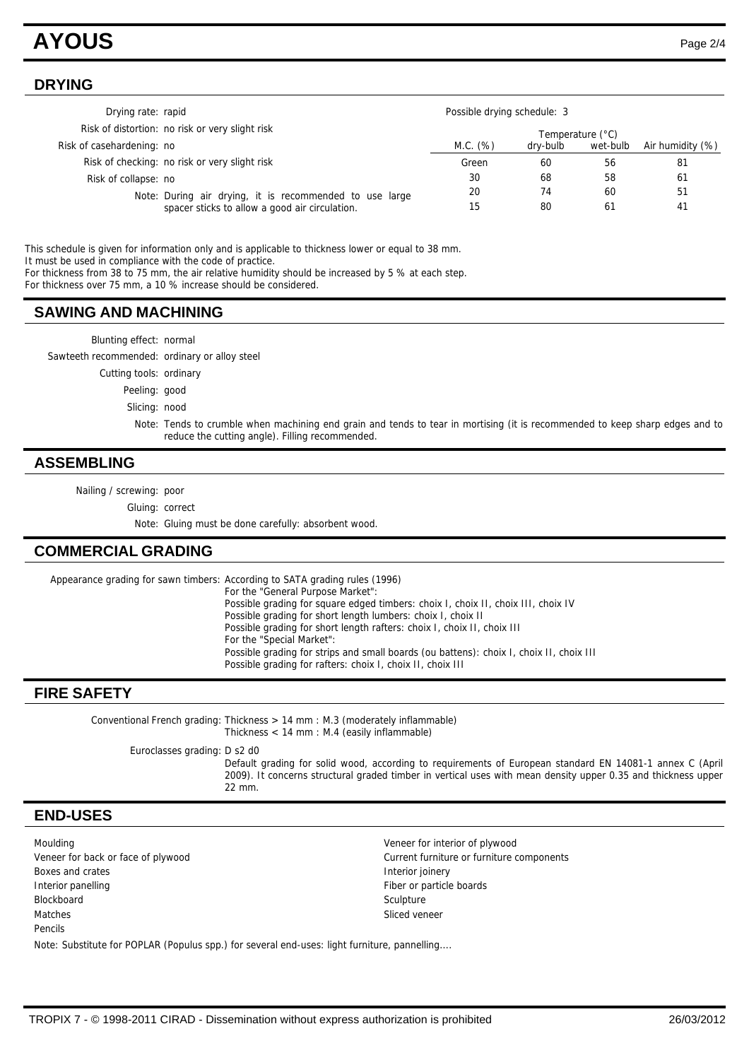# **AYOUS** Page 2/4

#### **DRYING**

| Drying rate: rapid        |                                                                                                           | Possible drying schedule: 3 |          |          |                  |
|---------------------------|-----------------------------------------------------------------------------------------------------------|-----------------------------|----------|----------|------------------|
|                           | Risk of distortion: no risk or very slight risk                                                           | Temperature (°C)            |          |          |                  |
| Risk of casehardening: no |                                                                                                           | M.C. (%)                    | dry-bulb | wet-bulb | Air humidity (%) |
|                           | Risk of checking: no risk or very slight risk                                                             | Green                       | 60       | 56       | 81               |
| Risk of collapse: no      |                                                                                                           | 30                          | 68       | 58       | 61               |
|                           | Note: During air drying, it is recommended to use large<br>spacer sticks to allow a good air circulation. | 20                          | 74       | 60       | 51               |
|                           |                                                                                                           | 15                          | 80       | 61       | 41               |

This schedule is given for information only and is applicable to thickness lower or equal to 38 mm. It must be used in compliance with the code of practice. For thickness from 38 to 75 mm, the air relative humidity should be increased by 5 % at each step.

For thickness over 75 mm, a 10 % increase should be considered.

#### **SAWING AND MACHINING**

| Blunting effect: normal                       |                                                                                                                                                                                 |
|-----------------------------------------------|---------------------------------------------------------------------------------------------------------------------------------------------------------------------------------|
| Sawteeth recommended: ordinary or alloy steel |                                                                                                                                                                                 |
| Cutting tools: ordinary                       |                                                                                                                                                                                 |
| Peeling: good                                 |                                                                                                                                                                                 |
| Slicing: nood                                 |                                                                                                                                                                                 |
|                                               | Note: Tends to crumble when machining end grain and tends to tear in mortising (it is recommended to keep sharp edges and to<br>reduce the cutting angle). Filling recommended. |
|                                               |                                                                                                                                                                                 |

#### **ASSEMBLING**

Nailing / screwing: poor

Gluing: correct

Note: Gluing must be done carefully: absorbent wood.

### **COMMERCIAL GRADING**

Appearance grading for sawn timbers: According to SATA grading rules (1996) For the "General Purpose Market": Possible grading for square edged timbers: choix I, choix II, choix III, choix IV Possible grading for short length lumbers: choix I, choix II Possible grading for short length rafters: choix I, choix II, choix III For the "Special Market": Possible grading for strips and small boards (ou battens): choix I, choix II, choix III Possible grading for rafters: choix I, choix II, choix III

### **FIRE SAFETY**

Conventional French grading: Thickness > 14 mm : M.3 (moderately inflammable) Thickness < 14 mm : M.4 (easily inflammable) Euroclasses grading: D s2 d0 Default grading for solid wood, according to requirements of European standard EN 14081-1 annex C (April 2009). It concerns structural graded timber in vertical uses with mean density upper 0.35 and thickness upper 22 mm.

#### **END-USES**

| Moulding                                                                                     | Veneer for interior of plywood            |  |  |  |  |
|----------------------------------------------------------------------------------------------|-------------------------------------------|--|--|--|--|
| Veneer for back or face of plywood                                                           | Current furniture or furniture components |  |  |  |  |
| Boxes and crates                                                                             | Interior joinery                          |  |  |  |  |
| Interior panelling                                                                           | Fiber or particle boards                  |  |  |  |  |
| Blockboard                                                                                   | Sculpture                                 |  |  |  |  |
| Matches                                                                                      | Sliced veneer                             |  |  |  |  |
| Pencils                                                                                      |                                           |  |  |  |  |
| Note: Substitute for POPLAR (Populus spp.) for several end-uses: light furniture, pannelling |                                           |  |  |  |  |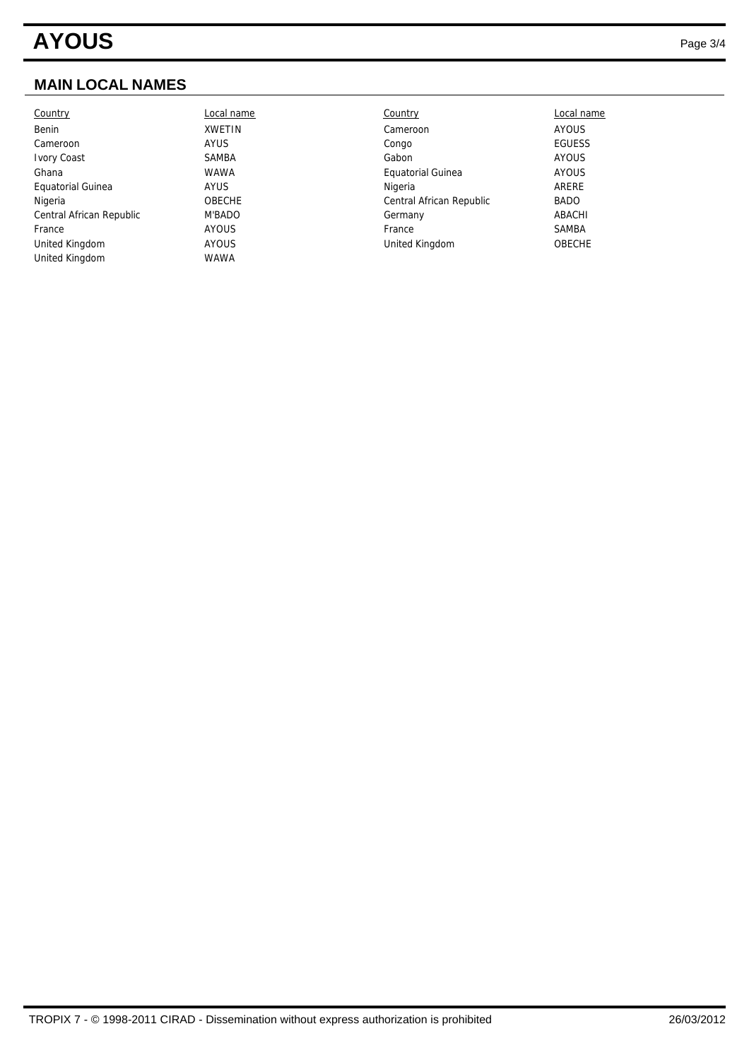# **AYOUS** Page 3/4

# **MAIN LOCAL NAMES**

| Country                  | Local name    | Country                  | Local name    |
|--------------------------|---------------|--------------------------|---------------|
| Benin                    | <b>XWETIN</b> | Cameroon                 | AYOUS         |
| Cameroon                 | <b>AYUS</b>   | Congo                    | <b>EGUESS</b> |
| <b>Ivory Coast</b>       | <b>SAMBA</b>  | Gabon                    | AYOUS         |
| Ghana                    | <b>WAWA</b>   | <b>Equatorial Guinea</b> | AYOUS         |
| <b>Equatorial Guinea</b> | <b>AYUS</b>   | Nigeria                  | ARERE         |
| Nigeria                  | <b>OBECHE</b> | Central African Republic | <b>BADO</b>   |
| Central African Republic | M'BADO        | Germany                  | ABACHI        |
| France                   | AYOUS         | France                   | SAMBA         |
| United Kingdom           | <b>AYOUS</b>  | United Kingdom           | <b>OBECHE</b> |
| United Kingdom           | <b>WAWA</b>   |                          |               |